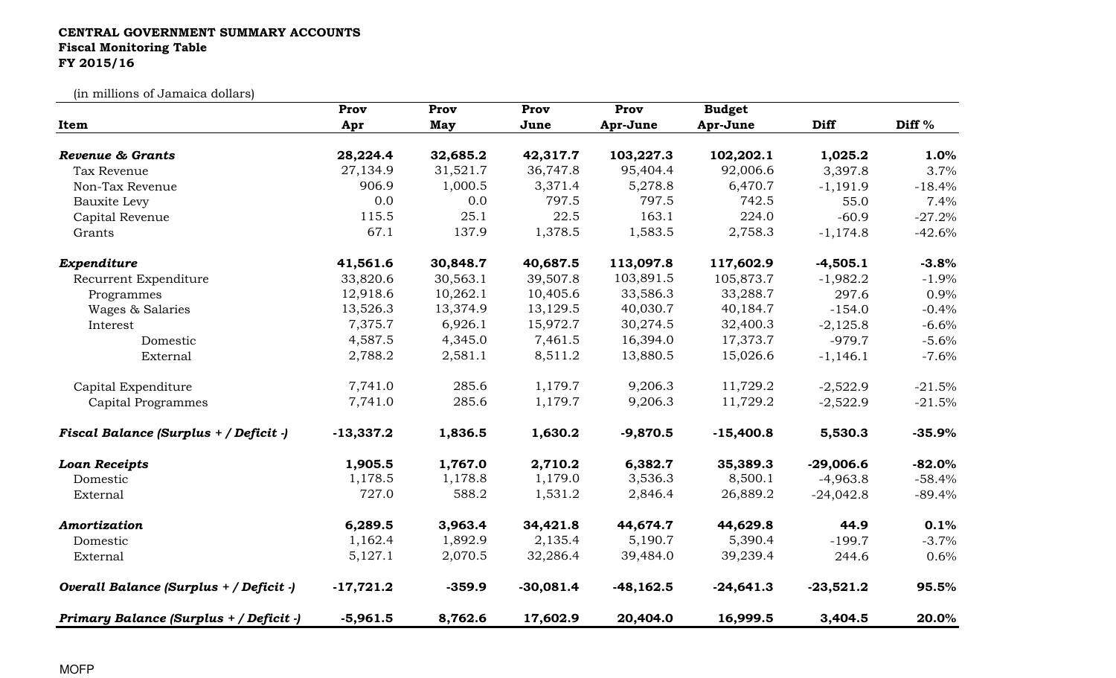## CENTRAL GOVERNMENT SUMMARY ACCOUNTS Fiscal Monitoring TableFY 2015/16

(in millions of Jamaica dollars)

|                                         | Prov        | Prov     | Prov        | Prov        | <b>Budget</b> |             |                   |
|-----------------------------------------|-------------|----------|-------------|-------------|---------------|-------------|-------------------|
| Item                                    | Apr         | May      | June        | Apr-June    | Apr-June      | <b>Diff</b> | Diff <sup>%</sup> |
| Revenue & Grants                        | 28,224.4    | 32,685.2 | 42,317.7    | 103,227.3   | 102,202.1     | 1,025.2     | 1.0%              |
| Tax Revenue                             | 27,134.9    | 31,521.7 | 36,747.8    | 95,404.4    | 92,006.6      | 3,397.8     | 3.7%              |
| Non-Tax Revenue                         | 906.9       | 1,000.5  | 3,371.4     | 5,278.8     | 6,470.7       | $-1,191.9$  | $-18.4%$          |
| <b>Bauxite Levy</b>                     | 0.0         | 0.0      | 797.5       | 797.5       | 742.5         | 55.0        | 7.4%              |
| Capital Revenue                         | 115.5       | 25.1     | 22.5        | 163.1       | 224.0         | $-60.9$     | $-27.2%$          |
| Grants                                  | 67.1        | 137.9    | 1,378.5     | 1,583.5     | 2,758.3       | $-1,174.8$  | $-42.6%$          |
| Expenditure                             | 41,561.6    | 30,848.7 | 40,687.5    | 113,097.8   | 117,602.9     | $-4,505.1$  | $-3.8%$           |
| Recurrent Expenditure                   | 33,820.6    | 30,563.1 | 39,507.8    | 103,891.5   | 105,873.7     | $-1,982.2$  | $-1.9%$           |
| Programmes                              | 12,918.6    | 10,262.1 | 10,405.6    | 33,586.3    | 33,288.7      | 297.6       | 0.9%              |
| Wages & Salaries                        | 13,526.3    | 13,374.9 | 13,129.5    | 40,030.7    | 40,184.7      | $-154.0$    | $-0.4%$           |
| Interest                                | 7,375.7     | 6,926.1  | 15,972.7    | 30,274.5    | 32,400.3      | $-2,125.8$  | $-6.6%$           |
| Domestic                                | 4,587.5     | 4,345.0  | 7,461.5     | 16,394.0    | 17,373.7      | $-979.7$    | $-5.6%$           |
| External                                | 2,788.2     | 2,581.1  | 8,511.2     | 13,880.5    | 15,026.6      | $-1,146.1$  | $-7.6%$           |
| Capital Expenditure                     | 7,741.0     | 285.6    | 1,179.7     | 9,206.3     | 11,729.2      | $-2,522.9$  | $-21.5%$          |
| Capital Programmes                      | 7,741.0     | 285.6    | 1,179.7     | 9,206.3     | 11,729.2      | $-2,522.9$  | $-21.5%$          |
| Fiscal Balance (Surplus + / Deficit -)  | $-13,337.2$ | 1,836.5  | 1,630.2     | $-9,870.5$  | $-15,400.8$   | 5,530.3     | $-35.9%$          |
| <b>Loan Receipts</b>                    | 1,905.5     | 1,767.0  | 2,710.2     | 6,382.7     | 35,389.3      | $-29,006.6$ | $-82.0%$          |
| Domestic                                | 1,178.5     | 1,178.8  | 1,179.0     | 3,536.3     | 8,500.1       | $-4,963.8$  | $-58.4%$          |
| External                                | 727.0       | 588.2    | 1,531.2     | 2,846.4     | 26,889.2      | $-24,042.8$ | $-89.4%$          |
| Amortization                            | 6,289.5     | 3,963.4  | 34,421.8    | 44,674.7    | 44,629.8      | 44.9        | 0.1%              |
| Domestic                                | 1,162.4     | 1,892.9  | 2,135.4     | 5,190.7     | 5,390.4       | $-199.7$    | $-3.7%$           |
| External                                | 5,127.1     | 2,070.5  | 32,286.4    | 39,484.0    | 39,239.4      | 244.6       | 0.6%              |
| Overall Balance (Surplus + / Deficit -) | $-17,721.2$ | $-359.9$ | $-30,081.4$ | $-48,162.5$ | $-24,641.3$   | $-23,521.2$ | 95.5%             |
| Primary Balance (Surplus + / Deficit -) | $-5,961.5$  | 8,762.6  | 17,602.9    | 20,404.0    | 16,999.5      | 3,404.5     | 20.0%             |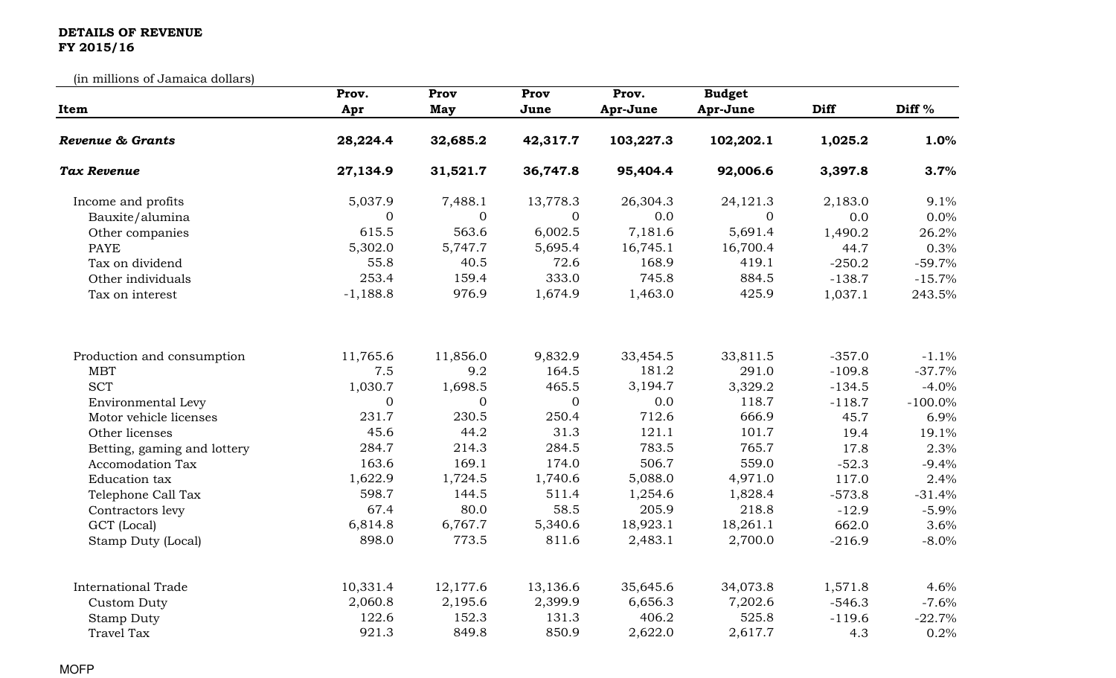## DETAILS OF REVENUE FY 2015/16

(in millions of Jamaica dollars)

| Item                        | Prov.          | Prov           | Prov           | Prov.     | <b>Budget</b> |             |                   |
|-----------------------------|----------------|----------------|----------------|-----------|---------------|-------------|-------------------|
|                             | Apr            | <b>May</b>     | June           | Apr-June  | Apr-June      | <b>Diff</b> | Diff <sup>%</sup> |
| Revenue & Grants            | 28,224.4       | 32,685.2       | 42,317.7       | 103,227.3 | 102,202.1     | 1,025.2     | 1.0%              |
| <b>Tax Revenue</b>          | 27,134.9       | 31,521.7       | 36,747.8       | 95,404.4  | 92,006.6      | 3,397.8     | 3.7%              |
| Income and profits          | 5,037.9        | 7,488.1        | 13,778.3       | 26,304.3  | 24,121.3      | 2,183.0     | 9.1%              |
| Bauxite/alumina             | $\overline{0}$ | $\overline{0}$ | $\overline{0}$ | 0.0       | $\Omega$      | 0.0         | 0.0%              |
| Other companies             | 615.5          | 563.6          | 6,002.5        | 7,181.6   | 5,691.4       | 1,490.2     | 26.2%             |
| <b>PAYE</b>                 | 5,302.0        | 5,747.7        | 5,695.4        | 16,745.1  | 16,700.4      | 44.7        | 0.3%              |
| Tax on dividend             | 55.8           | 40.5           | 72.6           | 168.9     | 419.1         | $-250.2$    | $-59.7%$          |
| Other individuals           | 253.4          | 159.4          | 333.0          | 745.8     | 884.5         | $-138.7$    | $-15.7%$          |
| Tax on interest             | $-1,188.8$     | 976.9          | 1,674.9        | 1,463.0   | 425.9         | 1,037.1     | 243.5%            |
| Production and consumption  | 11,765.6       | 11,856.0       | 9,832.9        | 33,454.5  | 33,811.5      | $-357.0$    | $-1.1%$           |
| <b>MBT</b>                  | 7.5            | 9.2            | 164.5          | 181.2     | 291.0         | $-109.8$    | $-37.7%$          |
| <b>SCT</b>                  | 1,030.7        | 1,698.5        | 465.5          | 3,194.7   | 3,329.2       | $-134.5$    | $-4.0%$           |
| Environmental Levy          | $\overline{0}$ | $\overline{0}$ | $\overline{0}$ | 0.0       | 118.7         | $-118.7$    | $-100.0\%$        |
| Motor vehicle licenses      | 231.7          | 230.5          | 250.4          | 712.6     | 666.9         | 45.7        | 6.9%              |
| Other licenses              | 45.6           | 44.2           | 31.3           | 121.1     | 101.7         | 19.4        | 19.1%             |
| Betting, gaming and lottery | 284.7          | 214.3          | 284.5          | 783.5     | 765.7         | 17.8        | 2.3%              |
| <b>Accomodation Tax</b>     | 163.6          | 169.1          | 174.0          | 506.7     | 559.0         | $-52.3$     | $-9.4%$           |
| Education tax               | 1,622.9        | 1,724.5        | 1,740.6        | 5,088.0   | 4,971.0       | 117.0       | 2.4%              |
| Telephone Call Tax          | 598.7          | 144.5          | 511.4          | 1,254.6   | 1,828.4       | $-573.8$    | $-31.4%$          |
| Contractors levy            | 67.4           | 80.0           | 58.5           | 205.9     | 218.8         | $-12.9$     | $-5.9%$           |
| GCT (Local)                 | 6,814.8        | 6,767.7        | 5,340.6        | 18,923.1  | 18,261.1      | 662.0       | 3.6%              |
| Stamp Duty (Local)          | 898.0          | 773.5          | 811.6          | 2,483.1   | 2,700.0       | $-216.9$    | $-8.0\%$          |
| <b>International Trade</b>  | 10,331.4       | 12,177.6       | 13,136.6       | 35,645.6  | 34,073.8      | 1,571.8     | 4.6%              |
| Custom Duty                 | 2,060.8        | 2,195.6        | 2,399.9        | 6,656.3   | 7,202.6       | $-546.3$    | $-7.6%$           |
| <b>Stamp Duty</b>           | 122.6          | 152.3          | 131.3          | 406.2     | 525.8         | $-119.6$    | $-22.7%$          |
| <b>Travel Tax</b>           | 921.3          | 849.8          | 850.9          | 2,622.0   | 2,617.7       | 4.3         | 0.2%              |